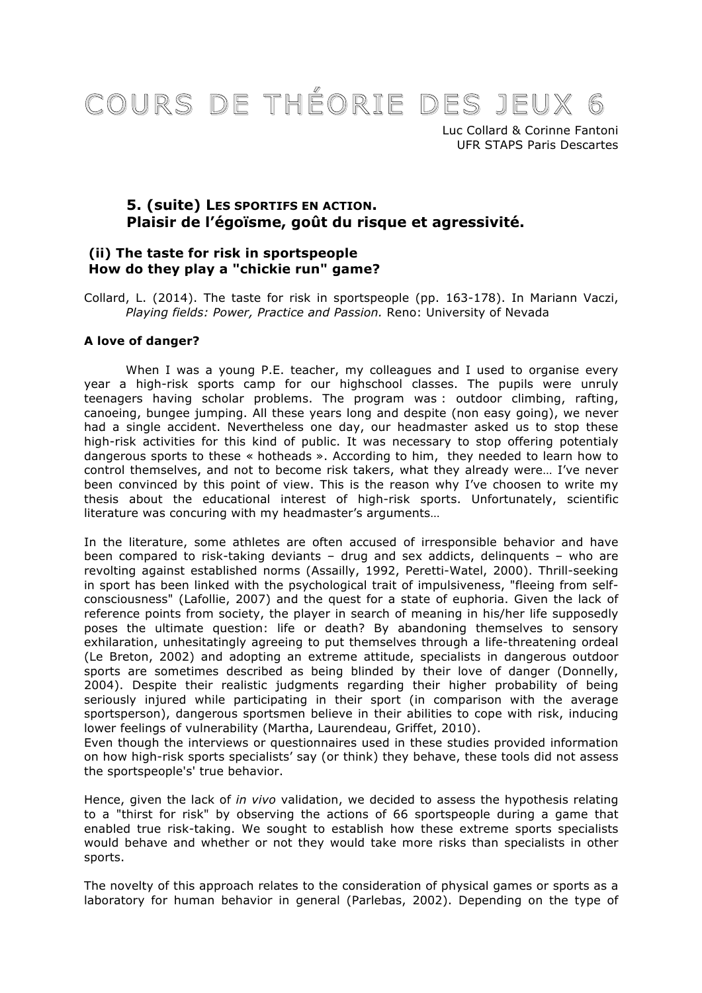COURS DE THÉORIE DES JEUX 6

Luc Collard & Corinne Fantoni UFR STAPS Paris Descartes

# **5. (suite) LES SPORTIFS EN ACTION. Plaisir de l'égoïsme, goût du risque et agressivité.**

# **(ii) The taste for risk in sportspeople How do they play a "chickie run" game?**

Collard, L. (2014). The taste for risk in sportspeople (pp. 163-178). In Mariann Vaczi, *Playing fields: Power, Practice and Passion.* Reno: University of Nevada

#### **A love of danger?**

When I was a young P.E. teacher, my colleagues and I used to organise every year a high-risk sports camp for our highschool classes. The pupils were unruly teenagers having scholar problems. The program was : outdoor climbing, rafting, canoeing, bungee jumping. All these years long and despite (non easy going), we never had a single accident. Nevertheless one day, our headmaster asked us to stop these high-risk activities for this kind of public. It was necessary to stop offering potentialy dangerous sports to these « hotheads ». According to him, they needed to learn how to control themselves, and not to become risk takers, what they already were… I've never been convinced by this point of view. This is the reason why I've choosen to write my thesis about the educational interest of high-risk sports. Unfortunately, scientific literature was concuring with my headmaster's arguments…

In the literature, some athletes are often accused of irresponsible behavior and have been compared to risk-taking deviants – drug and sex addicts, delinquents – who are revolting against established norms (Assailly, 1992, Peretti-Watel, 2000). Thrill-seeking in sport has been linked with the psychological trait of impulsiveness, "fleeing from selfconsciousness" (Lafollie, 2007) and the quest for a state of euphoria. Given the lack of reference points from society, the player in search of meaning in his/her life supposedly poses the ultimate question: life or death? By abandoning themselves to sensory exhilaration, unhesitatingly agreeing to put themselves through a life-threatening ordeal (Le Breton, 2002) and adopting an extreme attitude, specialists in dangerous outdoor sports are sometimes described as being blinded by their love of danger (Donnelly, 2004). Despite their realistic judgments regarding their higher probability of being seriously injured while participating in their sport (in comparison with the average sportsperson), dangerous sportsmen believe in their abilities to cope with risk, inducing lower feelings of vulnerability (Martha, Laurendeau, Griffet, 2010).

Even though the interviews or questionnaires used in these studies provided information on how high-risk sports specialists' say (or think) they behave, these tools did not assess the sportspeople's' true behavior.

Hence, given the lack of *in vivo* validation, we decided to assess the hypothesis relating to a "thirst for risk" by observing the actions of 66 sportspeople during a game that enabled true risk-taking. We sought to establish how these extreme sports specialists would behave and whether or not they would take more risks than specialists in other sports.

The novelty of this approach relates to the consideration of physical games or sports as a laboratory for human behavior in general (Parlebas, 2002). Depending on the type of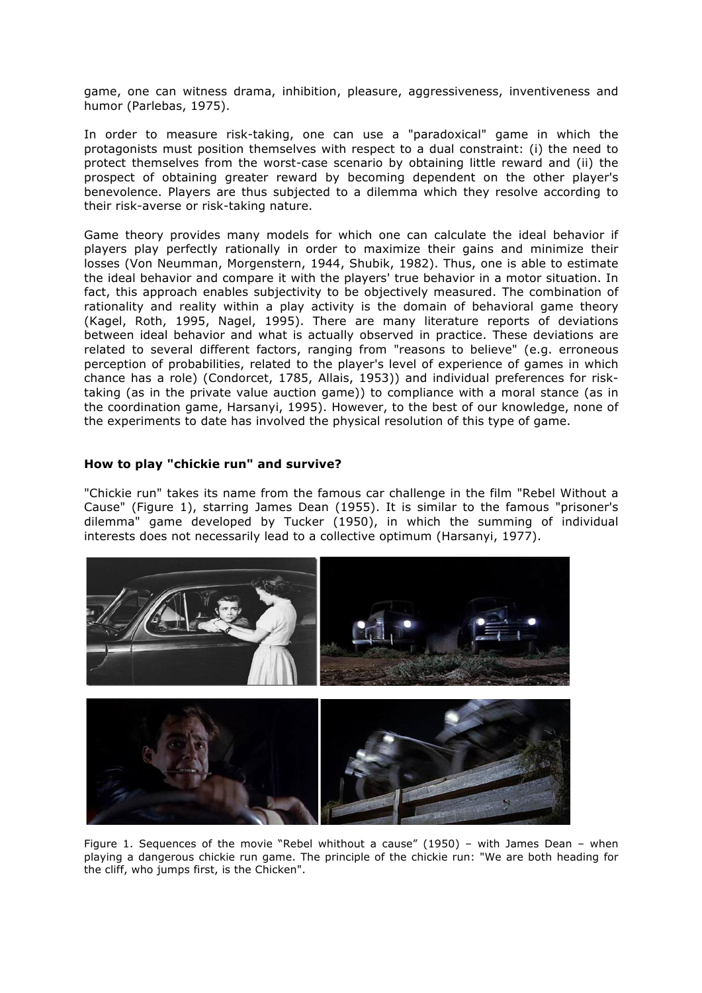game, one can witness drama, inhibition, pleasure, aggressiveness, inventiveness and humor (Parlebas, 1975).

In order to measure risk-taking, one can use a "paradoxical" game in which the protagonists must position themselves with respect to a dual constraint: (i) the need to protect themselves from the worst-case scenario by obtaining little reward and (ii) the prospect of obtaining greater reward by becoming dependent on the other player's benevolence. Players are thus subjected to a dilemma which they resolve according to their risk-averse or risk-taking nature.

Game theory provides many models for which one can calculate the ideal behavior if players play perfectly rationally in order to maximize their gains and minimize their losses (Von Neumman, Morgenstern, 1944, Shubik, 1982). Thus, one is able to estimate the ideal behavior and compare it with the players' true behavior in a motor situation. In fact, this approach enables subjectivity to be objectively measured. The combination of rationality and reality within a play activity is the domain of behavioral game theory (Kagel, Roth, 1995, Nagel, 1995). There are many literature reports of deviations between ideal behavior and what is actually observed in practice. These deviations are related to several different factors, ranging from "reasons to believe" (e.g. erroneous perception of probabilities, related to the player's level of experience of games in which chance has a role) (Condorcet, 1785, Allais, 1953)) and individual preferences for risktaking (as in the private value auction game)) to compliance with a moral stance (as in the coordination game, Harsanyi, 1995). However, to the best of our knowledge, none of the experiments to date has involved the physical resolution of this type of game.

# **How to play "chickie run" and survive?**

"Chickie run" takes its name from the famous car challenge in the film "Rebel Without a Cause" (Figure 1), starring James Dean (1955). It is similar to the famous "prisoner's dilemma" game developed by Tucker (1950), in which the summing of individual interests does not necessarily lead to a collective optimum (Harsanyi, 1977).



Figure 1. Sequences of the movie "Rebel whithout a cause" (1950) – with James Dean – when playing a dangerous chickie run game. The principle of the chickie run: "We are both heading for the cliff, who jumps first, is the Chicken".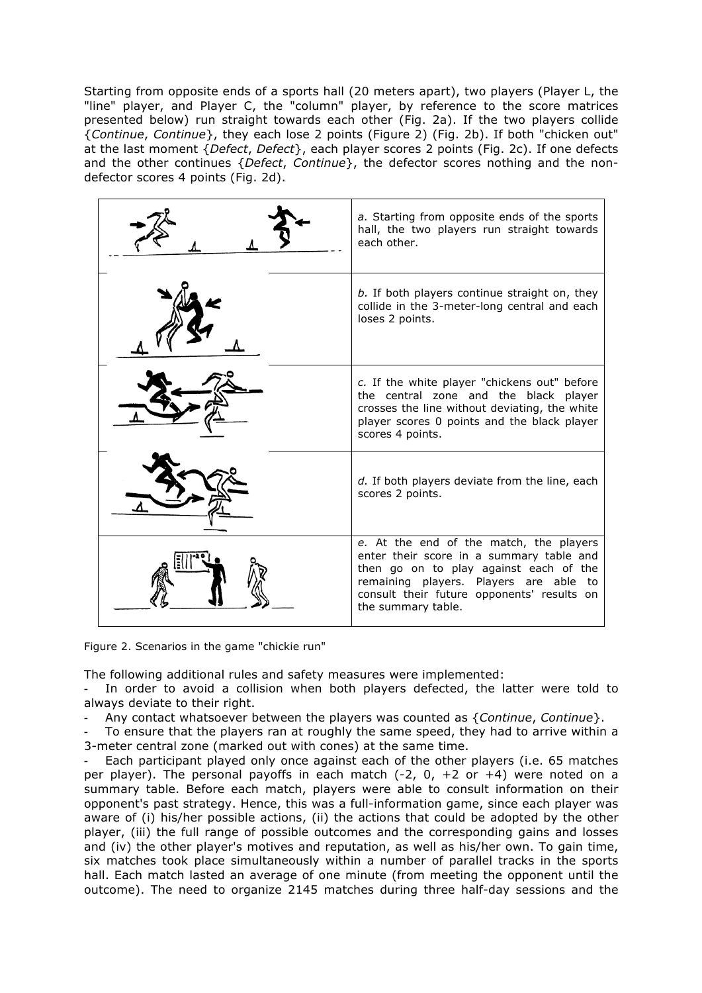Starting from opposite ends of a sports hall (20 meters apart), two players (Player L, the "line" player, and Player C, the "column" player, by reference to the score matrices presented below) run straight towards each other (Fig. 2a). If the two players collide {*Continue*, *Continue*}, they each lose 2 points (Figure 2) (Fig. 2b). If both "chicken out" at the last moment {*Defect*, *Defect*}, each player scores 2 points (Fig. 2c). If one defects and the other continues {*Defect*, *Continue*}, the defector scores nothing and the nondefector scores 4 points (Fig. 2d).

| a. Starting from opposite ends of the sports<br>hall, the two players run straight towards<br>each other.                                                                                                                                   |
|---------------------------------------------------------------------------------------------------------------------------------------------------------------------------------------------------------------------------------------------|
| b. If both players continue straight on, they<br>collide in the 3-meter-long central and each<br>loses 2 points.                                                                                                                            |
| c. If the white player "chickens out" before<br>the central zone and the black player<br>crosses the line without deviating, the white<br>player scores 0 points and the black player<br>scores 4 points.                                   |
| d. If both players deviate from the line, each<br>scores 2 points.                                                                                                                                                                          |
| e. At the end of the match, the players<br>enter their score in a summary table and<br>then go on to play against each of the<br>remaining players. Players are able to<br>consult their future opponents' results on<br>the summary table. |

Figure 2. Scenarios in the game "chickie run"

The following additional rules and safety measures were implemented:

In order to avoid a collision when both players defected, the latter were told to always deviate to their right.

- Any contact whatsoever between the players was counted as {*Continue*, *Continue*}.

To ensure that the players ran at roughly the same speed, they had to arrive within a 3-meter central zone (marked out with cones) at the same time.

Each participant played only once against each of the other players (i.e. 65 matches per player). The personal payoffs in each match (-2, 0, +2 or +4) were noted on a summary table. Before each match, players were able to consult information on their opponent's past strategy. Hence, this was a full-information game, since each player was aware of (i) his/her possible actions, (ii) the actions that could be adopted by the other player, (iii) the full range of possible outcomes and the corresponding gains and losses and (iv) the other player's motives and reputation, as well as his/her own. To gain time, six matches took place simultaneously within a number of parallel tracks in the sports hall. Each match lasted an average of one minute (from meeting the opponent until the outcome). The need to organize 2145 matches during three half-day sessions and the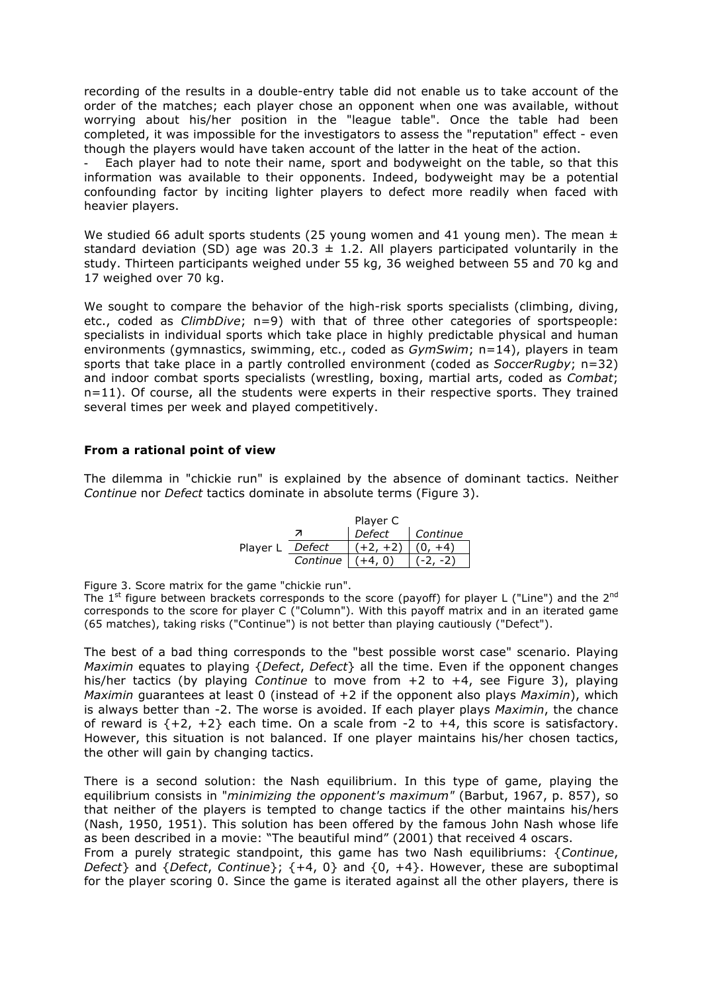recording of the results in a double-entry table did not enable us to take account of the order of the matches; each player chose an opponent when one was available, without worrying about his/her position in the "league table". Once the table had been completed, it was impossible for the investigators to assess the "reputation" effect - even though the players would have taken account of the latter in the heat of the action.

Each player had to note their name, sport and bodyweight on the table, so that this information was available to their opponents. Indeed, bodyweight may be a potential confounding factor by inciting lighter players to defect more readily when faced with heavier players.

We studied 66 adult sports students (25 young women and 41 young men). The mean  $\pm$ standard deviation (SD) age was 20.3  $\pm$  1.2. All players participated voluntarily in the study. Thirteen participants weighed under 55 kg, 36 weighed between 55 and 70 kg and 17 weighed over 70 kg.

We sought to compare the behavior of the high-risk sports specialists (climbing, diving, etc., coded as *ClimbDive*; n=9) with that of three other categories of sportspeople: specialists in individual sports which take place in highly predictable physical and human environments (gymnastics, swimming, etc., coded as *GymSwim*; n=14), players in team sports that take place in a partly controlled environment (coded as *SoccerRugby*; n=32) and indoor combat sports specialists (wrestling, boxing, martial arts, coded as *Combat*; n=11). Of course, all the students were experts in their respective sports. They trained several times per week and played competitively.

# **From a rational point of view**

The dilemma in "chickie run" is explained by the absence of dominant tactics. Neither *Continue* nor *Defect* tactics dominate in absolute terms (Figure 3).

|          |          | Player C   |          |
|----------|----------|------------|----------|
|          |          | Defect     | Continue |
| Player L | Defect   | $(+2, +2)$ |          |
|          | Continue | $(+4, 0)$  |          |

Figure 3. Score matrix for the game "chickie run".

The 1<sup>st</sup> figure between brackets corresponds to the score (payoff) for player L ("Line") and the 2<sup>nd</sup> corresponds to the score for player C ("Column"). With this payoff matrix and in an iterated game (65 matches), taking risks ("Continue") is not better than playing cautiously ("Defect").

The best of a bad thing corresponds to the "best possible worst case" scenario. Playing *Maximin* equates to playing {*Defect*, *Defect*} all the time. Even if the opponent changes his/her tactics (by playing *Continue* to move from +2 to +4, see Figure 3), playing *Maximin* guarantees at least 0 (instead of +2 if the opponent also plays *Maximin*), which is always better than -2. The worse is avoided. If each player plays *Maximin*, the chance of reward is  $\{+2, +2\}$  each time. On a scale from -2 to +4, this score is satisfactory. However, this situation is not balanced. If one player maintains his/her chosen tactics, the other will gain by changing tactics.

There is a second solution: the Nash equilibrium. In this type of game, playing the equilibrium consists in "*minimizing the opponent's maximum"* (Barbut, 1967, p. 857), so that neither of the players is tempted to change tactics if the other maintains his/hers (Nash, 1950, 1951). This solution has been offered by the famous John Nash whose life as been described in a movie: "The beautiful mind" (2001) that received 4 oscars.

From a purely strategic standpoint, this game has two Nash equilibriums: {*Continue*, *Defect*} and {*Defect*, *Continue*}; {+4, 0} and {0, +4}. However, these are suboptimal for the player scoring 0. Since the game is iterated against all the other players, there is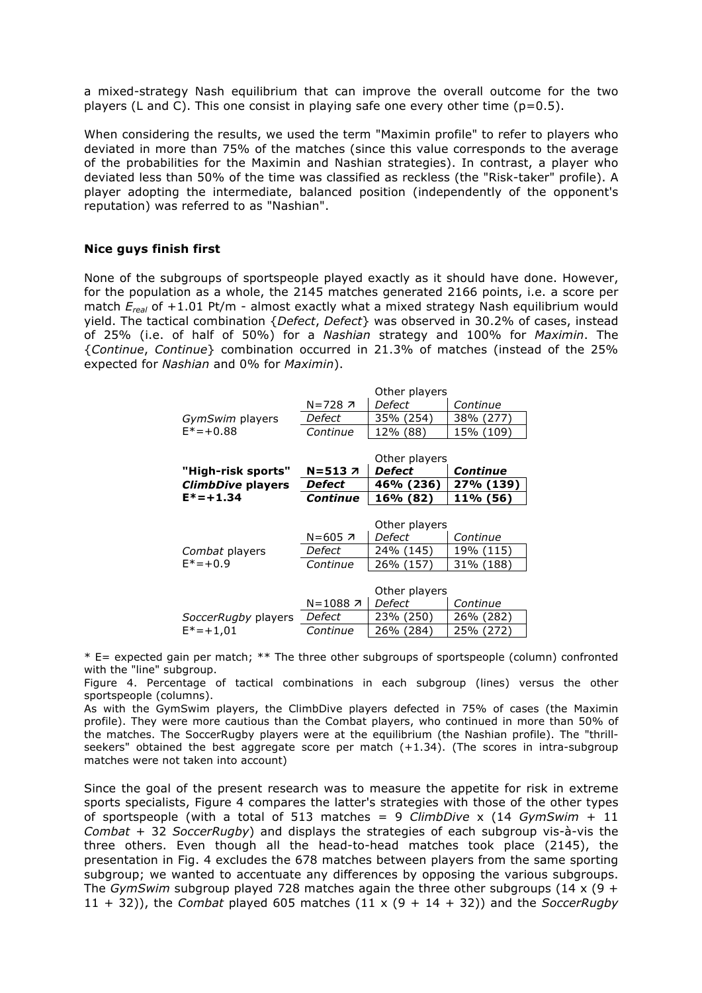a mixed-strategy Nash equilibrium that can improve the overall outcome for the two players (L and C). This one consist in playing safe one every other time ( $p=0.5$ ).

When considering the results, we used the term "Maximin profile" to refer to players who deviated in more than 75% of the matches (since this value corresponds to the average of the probabilities for the Maximin and Nashian strategies). In contrast, a player who deviated less than 50% of the time was classified as reckless (the "Risk-taker" profile). A player adopting the intermediate, balanced position (independently of the opponent's reputation) was referred to as "Nashian".

#### **Nice guys finish first**

None of the subgroups of sportspeople played exactly as it should have done. However, for the population as a whole, the 2145 matches generated 2166 points, i.e. a score per match *Ereal* of +1.01 Pt/m - almost exactly what a mixed strategy Nash equilibrium would yield. The tactical combination {*Defect*, *Defect*} was observed in 30.2% of cases, instead of 25% (i.e. of half of 50%) for a *Nashian* strategy and 100% for *Maximin*. The {*Continue*, *Continue*} combination occurred in 21.3% of matches (instead of the 25% expected for *Nashian* and 0% for *Maximin*).

|                          | Other players |               |           |  |
|--------------------------|---------------|---------------|-----------|--|
|                          | $N = 728$ 7   | Defect        | Continue  |  |
| GymSwim players          | <b>Defect</b> | 35% (254)     | 38% (277) |  |
| $F^* = +0.88$            | Continue      | 12% (88)      | 15% (109) |  |
|                          |               |               |           |  |
|                          |               | Other players |           |  |
| "High-risk sports"       | $N = 5137$    | Defect        | Continue  |  |
|                          |               |               |           |  |
| <b>ClimbDive players</b> | <b>Defect</b> | 46% (236)     | 27% (139) |  |
| $E* = +1.34$             | Continue      | 16% (82)      | 11% (56)  |  |
|                          |               |               |           |  |
|                          |               | Other players |           |  |
|                          | $N = 605$ $7$ | Defect        | Continue  |  |
| Combat players           | Defect        | 24% (145)     | 19% (115) |  |

|                     | Other players                      |           |           |  |
|---------------------|------------------------------------|-----------|-----------|--|
|                     | $N = 1088$ 7<br>Defect<br>Continue |           |           |  |
| SoccerRugby players | Defect                             | 23% (250) | 26% (282) |  |
| $E^* = +1.01$       | Continue                           | 26% (284) | 25% (272) |  |

\* E= expected gain per match; \*\* The three other subgroups of sportspeople (column) confronted with the "line" subgroup.

Figure 4. Percentage of tactical combinations in each subgroup (lines) versus the other sportspeople (columns).

As with the GymSwim players, the ClimbDive players defected in 75% of cases (the Maximin profile). They were more cautious than the Combat players, who continued in more than 50% of the matches. The SoccerRugby players were at the equilibrium (the Nashian profile). The "thrillseekers" obtained the best aggregate score per match (+1.34). (The scores in intra-subgroup matches were not taken into account)

Since the goal of the present research was to measure the appetite for risk in extreme sports specialists, Figure 4 compares the latter's strategies with those of the other types of sportspeople (with a total of 513 matches = 9 *ClimbDive* x (14 *GymSwim* + 11 *Combat* + 32 *SoccerRugby*) and displays the strategies of each subgroup vis-à-vis the three others. Even though all the head-to-head matches took place (2145), the presentation in Fig. 4 excludes the 678 matches between players from the same sporting subgroup; we wanted to accentuate any differences by opposing the various subgroups. The *GymSwim* subgroup played 728 matches again the three other subgroups (14 x (9 + 11 + 32)), the *Combat* played 605 matches (11 x (9 + 14 + 32)) and the *SoccerRugby*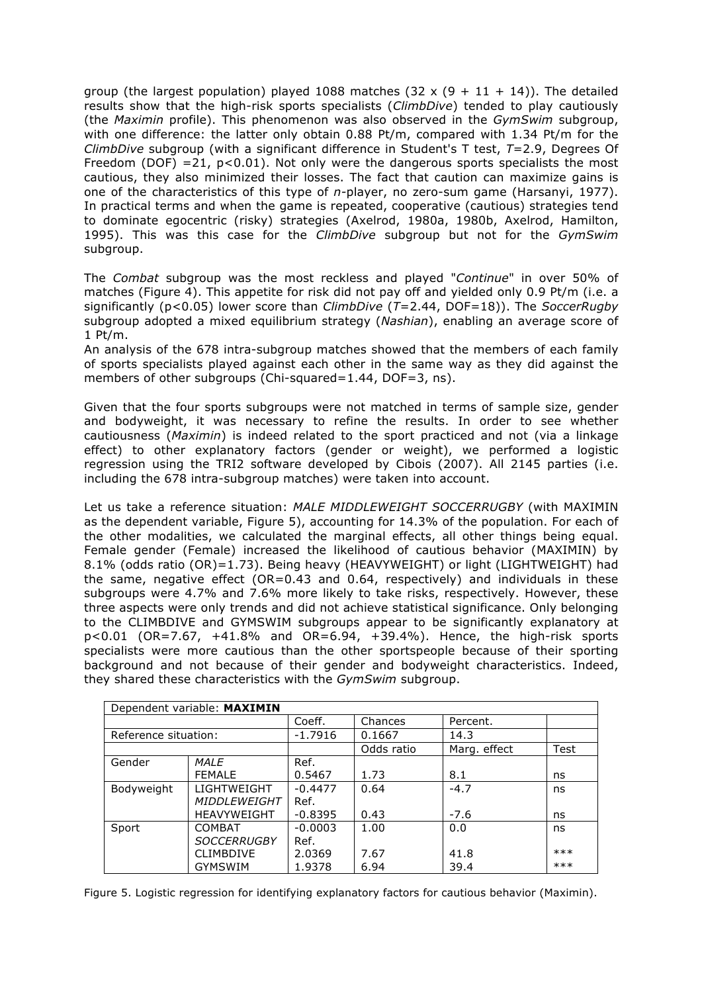group (the largest population) played 1088 matches (32 x (9 + 11 + 14)). The detailed results show that the high-risk sports specialists (*ClimbDive*) tended to play cautiously (the *Maximin* profile). This phenomenon was also observed in the *GymSwim* subgroup, with one difference: the latter only obtain 0.88 Pt/m, compared with 1.34 Pt/m for the *ClimbDive* subgroup (with a significant difference in Student's T test, *T*=2.9, Degrees Of Freedom (DOF) = 21,  $p < 0.01$ ). Not only were the dangerous sports specialists the most cautious, they also minimized their losses. The fact that caution can maximize gains is one of the characteristics of this type of *n-*player, no zero-sum game (Harsanyi, 1977). In practical terms and when the game is repeated, cooperative (cautious) strategies tend to dominate egocentric (risky) strategies (Axelrod, 1980a, 1980b, Axelrod, Hamilton, 1995). This was this case for the *ClimbDive* subgroup but not for the *GymSwim*  subgroup.

The *Combat* subgroup was the most reckless and played "*Continue*" in over 50% of matches (Figure 4). This appetite for risk did not pay off and yielded only 0.9 Pt/m (i.e. a significantly (p<0.05) lower score than *ClimbDive* (*T*=2.44, DOF=18)). The *SoccerRugby* subgroup adopted a mixed equilibrium strategy (*Nashian*), enabling an average score of 1 Pt/m.

An analysis of the 678 intra-subgroup matches showed that the members of each family of sports specialists played against each other in the same way as they did against the members of other subgroups (Chi-squared=1.44, DOF=3, ns).

Given that the four sports subgroups were not matched in terms of sample size, gender and bodyweight, it was necessary to refine the results. In order to see whether cautiousness (*Maximin*) is indeed related to the sport practiced and not (via a linkage effect) to other explanatory factors (gender or weight), we performed a logistic regression using the TRI2 software developed by Cibois (2007). All 2145 parties (i.e. including the 678 intra-subgroup matches) were taken into account.

Let us take a reference situation: *MALE MIDDLEWEIGHT SOCCERRUGBY* (with MAXIMIN as the dependent variable, Figure 5), accounting for 14.3% of the population. For each of the other modalities, we calculated the marginal effects, all other things being equal. Female gender (Female) increased the likelihood of cautious behavior (MAXIMIN) by 8.1% (odds ratio (OR)=1.73). Being heavy (HEAVYWEIGHT) or light (LIGHTWEIGHT) had the same, negative effect ( $OR=0.43$  and  $0.64$ , respectively) and individuals in these subgroups were 4.7% and 7.6% more likely to take risks, respectively. However, these three aspects were only trends and did not achieve statistical significance. Only belonging to the CLIMBDIVE and GYMSWIM subgroups appear to be significantly explanatory at  $p < 0.01$  (OR=7.67, +41.8% and OR=6.94, +39.4%). Hence, the high-risk sports specialists were more cautious than the other sportspeople because of their sporting background and not because of their gender and bodyweight characteristics. Indeed, they shared these characteristics with the *GymSwim* subgroup.

| Dependent variable: MAXIMIN |                     |           |            |              |       |
|-----------------------------|---------------------|-----------|------------|--------------|-------|
|                             |                     | Coeff.    | Chances    | Percent.     |       |
| Reference situation:        |                     | $-1.7916$ | 0.1667     | 14.3         |       |
|                             |                     |           | Odds ratio | Marg. effect | Test  |
| Gender                      | <b>MALE</b>         | Ref.      |            |              |       |
|                             | <b>FEMALE</b>       | 0.5467    | 1.73       | 8.1          | ns    |
| Bodyweight                  | LIGHTWEIGHT         | $-0.4477$ | 0.64       | $-4.7$       | ns    |
|                             | <b>MIDDLEWEIGHT</b> | Ref.      |            |              |       |
|                             | <b>HEAVYWEIGHT</b>  | $-0.8395$ | 0.43       | $-7.6$       | ns    |
| Sport                       | <b>COMBAT</b>       | $-0.0003$ | 1.00       | 0.0          | ns    |
|                             | <b>SOCCERRUGBY</b>  | Ref.      |            |              |       |
|                             | <b>CLIMBDIVE</b>    | 2.0369    | 7.67       | 41.8         | $***$ |
|                             | <b>GYMSWIM</b>      | 1.9378    | 6.94       | 39.4         | $***$ |

Figure 5. Logistic regression for identifying explanatory factors for cautious behavior (Maximin).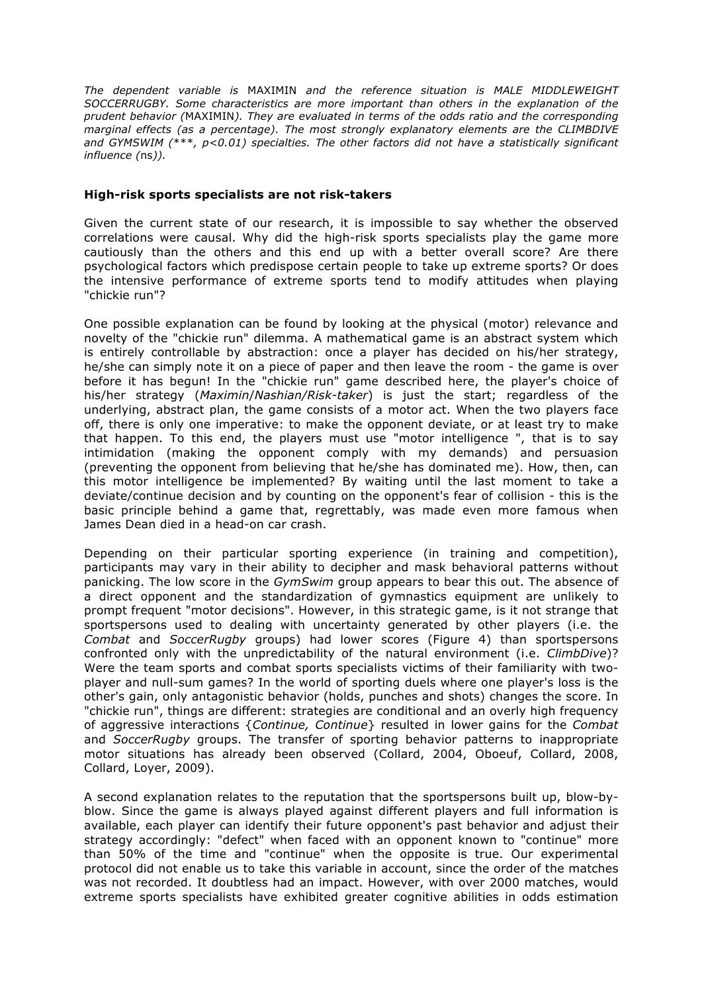*The dependent variable is* MAXIMIN *and the reference situation is MALE MIDDLEWEIGHT SOCCERRUGBY. Some characteristics are more important than others in the explanation of the prudent behavior (*MAXIMIN*). They are evaluated in terms of the odds ratio and the corresponding marginal effects (as a percentage). The most strongly explanatory elements are the CLIMBDIVE and GYMSWIM (*\*\*\**, p<0.01) specialties. The other factors did not have a statistically significant influence (*ns*)).*

#### **High-risk sports specialists are not risk-takers**

Given the current state of our research, it is impossible to say whether the observed correlations were causal. Why did the high-risk sports specialists play the game more cautiously than the others and this end up with a better overall score? Are there psychological factors which predispose certain people to take up extreme sports? Or does the intensive performance of extreme sports tend to modify attitudes when playing "chickie run"?

One possible explanation can be found by looking at the physical (motor) relevance and novelty of the "chickie run" dilemma. A mathematical game is an abstract system which is entirely controllable by abstraction: once a player has decided on his/her strategy, he/she can simply note it on a piece of paper and then leave the room - the game is over before it has begun! In the "chickie run" game described here, the player's choice of his/her strategy (*Maximin*/*Nashian/Risk-taker*) is just the start; regardless of the underlying, abstract plan, the game consists of a motor act. When the two players face off, there is only one imperative: to make the opponent deviate, or at least try to make that happen. To this end, the players must use "motor intelligence ", that is to say intimidation (making the opponent comply with my demands) and persuasion (preventing the opponent from believing that he/she has dominated me). How, then, can this motor intelligence be implemented? By waiting until the last moment to take a deviate/continue decision and by counting on the opponent's fear of collision - this is the basic principle behind a game that, regrettably, was made even more famous when James Dean died in a head-on car crash.

Depending on their particular sporting experience (in training and competition), participants may vary in their ability to decipher and mask behavioral patterns without panicking. The low score in the *GymSwim* group appears to bear this out. The absence of a direct opponent and the standardization of gymnastics equipment are unlikely to prompt frequent "motor decisions". However, in this strategic game, is it not strange that sportspersons used to dealing with uncertainty generated by other players (i.e. the *Combat* and *SoccerRugby* groups) had lower scores (Figure 4) than sportspersons confronted only with the unpredictability of the natural environment (i.e. *ClimbDive*)? Were the team sports and combat sports specialists victims of their familiarity with twoplayer and null-sum games? In the world of sporting duels where one player's loss is the other's gain, only antagonistic behavior (holds, punches and shots) changes the score. In "chickie run", things are different: strategies are conditional and an overly high frequency of aggressive interactions {*Continue, Continue*} resulted in lower gains for the *Combat* and *SoccerRugby* groups. The transfer of sporting behavior patterns to inappropriate motor situations has already been observed (Collard, 2004, Oboeuf, Collard, 2008, Collard, Loyer, 2009).

A second explanation relates to the reputation that the sportspersons built up, blow-byblow. Since the game is always played against different players and full information is available, each player can identify their future opponent's past behavior and adjust their strategy accordingly: "defect" when faced with an opponent known to "continue" more than 50% of the time and "continue" when the opposite is true. Our experimental protocol did not enable us to take this variable in account, since the order of the matches was not recorded. It doubtless had an impact. However, with over 2000 matches, would extreme sports specialists have exhibited greater cognitive abilities in odds estimation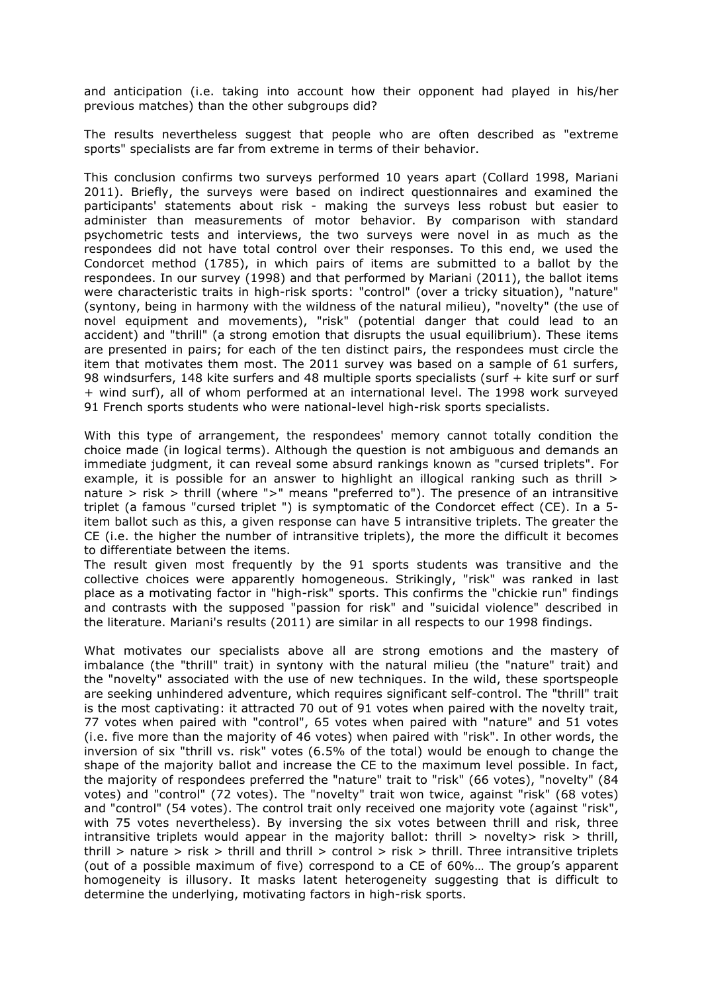and anticipation (i.e. taking into account how their opponent had played in his/her previous matches) than the other subgroups did?

The results nevertheless suggest that people who are often described as "extreme sports" specialists are far from extreme in terms of their behavior.

This conclusion confirms two surveys performed 10 years apart (Collard 1998, Mariani 2011). Briefly, the surveys were based on indirect questionnaires and examined the participants' statements about risk - making the surveys less robust but easier to administer than measurements of motor behavior. By comparison with standard psychometric tests and interviews, the two surveys were novel in as much as the respondees did not have total control over their responses. To this end, we used the Condorcet method (1785), in which pairs of items are submitted to a ballot by the respondees. In our survey (1998) and that performed by Mariani (2011), the ballot items were characteristic traits in high-risk sports: "control" (over a tricky situation), "nature" (syntony, being in harmony with the wildness of the natural milieu), "novelty" (the use of novel equipment and movements), "risk" (potential danger that could lead to an accident) and "thrill" (a strong emotion that disrupts the usual equilibrium). These items are presented in pairs; for each of the ten distinct pairs, the respondees must circle the item that motivates them most. The 2011 survey was based on a sample of 61 surfers, 98 windsurfers, 148 kite surfers and 48 multiple sports specialists (surf + kite surf or surf + wind surf), all of whom performed at an international level. The 1998 work surveyed 91 French sports students who were national-level high-risk sports specialists.

With this type of arrangement, the respondees' memory cannot totally condition the choice made (in logical terms). Although the question is not ambiguous and demands an immediate judgment, it can reveal some absurd rankings known as "cursed triplets". For example, it is possible for an answer to highlight an illogical ranking such as thrill  $>$ nature > risk > thrill (where ">" means "preferred to"). The presence of an intransitive triplet (a famous "cursed triplet ") is symptomatic of the Condorcet effect (CE). In a 5 item ballot such as this, a given response can have 5 intransitive triplets. The greater the CE (i.e. the higher the number of intransitive triplets), the more the difficult it becomes to differentiate between the items.

The result given most frequently by the 91 sports students was transitive and the collective choices were apparently homogeneous. Strikingly, "risk" was ranked in last place as a motivating factor in "high-risk" sports. This confirms the "chickie run" findings and contrasts with the supposed "passion for risk" and "suicidal violence" described in the literature. Mariani's results (2011) are similar in all respects to our 1998 findings.

What motivates our specialists above all are strong emotions and the mastery of imbalance (the "thrill" trait) in syntony with the natural milieu (the "nature" trait) and the "novelty" associated with the use of new techniques. In the wild, these sportspeople are seeking unhindered adventure, which requires significant self-control. The "thrill" trait is the most captivating: it attracted 70 out of 91 votes when paired with the novelty trait, 77 votes when paired with "control", 65 votes when paired with "nature" and 51 votes (i.e. five more than the majority of 46 votes) when paired with "risk". In other words, the inversion of six "thrill vs. risk" votes (6.5% of the total) would be enough to change the shape of the majority ballot and increase the CE to the maximum level possible. In fact, the majority of respondees preferred the "nature" trait to "risk" (66 votes), "novelty" (84 votes) and "control" (72 votes). The "novelty" trait won twice, against "risk" (68 votes) and "control" (54 votes). The control trait only received one majority vote (against "risk", with 75 votes nevertheless). By inversing the six votes between thrill and risk, three intransitive triplets would appear in the majority ballot: thrill  $>$  novelty  $>$  risk  $>$  thrill, thrill > nature > risk > thrill and thrill > control > risk > thrill. Three intransitive triplets (out of a possible maximum of five) correspond to a CE of 60%… The group's apparent homogeneity is illusory. It masks latent heterogeneity suggesting that is difficult to determine the underlying, motivating factors in high-risk sports.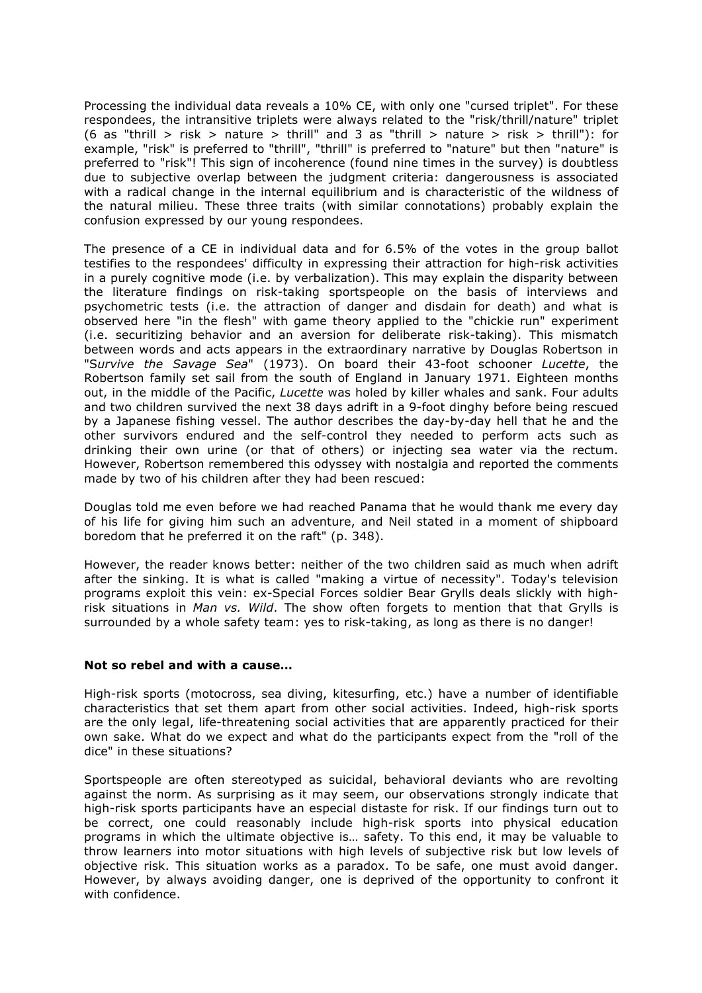Processing the individual data reveals a 10% CE, with only one "cursed triplet". For these respondees, the intransitive triplets were always related to the "risk/thrill/nature" triplet (6 as "thrill > risk > nature > thrill" and 3 as "thrill > nature > risk > thrill"): for example, "risk" is preferred to "thrill", "thrill" is preferred to "nature" but then "nature" is preferred to "risk"! This sign of incoherence (found nine times in the survey) is doubtless due to subjective overlap between the judgment criteria: dangerousness is associated with a radical change in the internal equilibrium and is characteristic of the wildness of the natural milieu. These three traits (with similar connotations) probably explain the confusion expressed by our young respondees.

The presence of a CE in individual data and for 6.5% of the votes in the group ballot testifies to the respondees' difficulty in expressing their attraction for high-risk activities in a purely cognitive mode (i.e. by verbalization). This may explain the disparity between the literature findings on risk-taking sportspeople on the basis of interviews and psychometric tests (i.e. the attraction of danger and disdain for death) and what is observed here "in the flesh" with game theory applied to the "chickie run" experiment (i.e. securitizing behavior and an aversion for deliberate risk-taking). This mismatch between words and acts appears in the extraordinary narrative by Douglas Robertson in "S*urvive the Savage Sea*" (1973). On board their 43-foot schooner *Lucette*, the Robertson family set sail from the south of England in January 1971. Eighteen months out, in the middle of the Pacific, *Lucette* was holed by killer whales and sank. Four adults and two children survived the next 38 days adrift in a 9-foot dinghy before being rescued by a Japanese fishing vessel. The author describes the day-by-day hell that he and the other survivors endured and the self-control they needed to perform acts such as drinking their own urine (or that of others) or injecting sea water via the rectum. However, Robertson remembered this odyssey with nostalgia and reported the comments made by two of his children after they had been rescued:

Douglas told me even before we had reached Panama that he would thank me every day of his life for giving him such an adventure, and Neil stated in a moment of shipboard boredom that he preferred it on the raft" (p. 348).

However, the reader knows better: neither of the two children said as much when adrift after the sinking. It is what is called "making a virtue of necessity". Today's television programs exploit this vein: ex-Special Forces soldier Bear Grylls deals slickly with highrisk situations in *Man vs. Wild*. The show often forgets to mention that that Grylls is surrounded by a whole safety team: yes to risk-taking, as long as there is no danger!

# **Not so rebel and with a cause…**

High-risk sports (motocross, sea diving, kitesurfing, etc.) have a number of identifiable characteristics that set them apart from other social activities. Indeed, high-risk sports are the only legal, life-threatening social activities that are apparently practiced for their own sake. What do we expect and what do the participants expect from the "roll of the dice" in these situations?

Sportspeople are often stereotyped as suicidal, behavioral deviants who are revolting against the norm. As surprising as it may seem, our observations strongly indicate that high-risk sports participants have an especial distaste for risk. If our findings turn out to be correct, one could reasonably include high-risk sports into physical education programs in which the ultimate objective is… safety. To this end, it may be valuable to throw learners into motor situations with high levels of subjective risk but low levels of objective risk. This situation works as a paradox. To be safe, one must avoid danger. However, by always avoiding danger, one is deprived of the opportunity to confront it with confidence.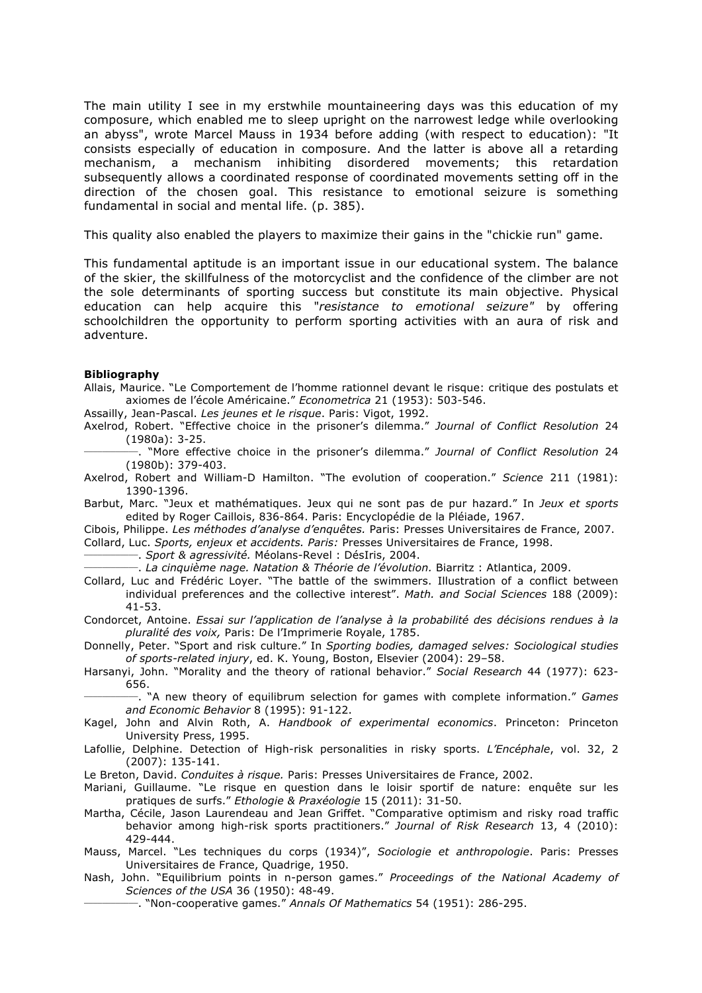The main utility I see in my erstwhile mountaineering days was this education of my composure, which enabled me to sleep upright on the narrowest ledge while overlooking an abyss", wrote Marcel Mauss in 1934 before adding (with respect to education): "It consists especially of education in composure. And the latter is above all a retarding mechanism, a mechanism inhibiting disordered movements; this retardation subsequently allows a coordinated response of coordinated movements setting off in the direction of the chosen goal. This resistance to emotional seizure is something fundamental in social and mental life. (p. 385).

This quality also enabled the players to maximize their gains in the "chickie run" game.

This fundamental aptitude is an important issue in our educational system. The balance of the skier, the skillfulness of the motorcyclist and the confidence of the climber are not the sole determinants of sporting success but constitute its main objective. Physical education can help acquire this "*resistance to emotional seizure"* by offering schoolchildren the opportunity to perform sporting activities with an aura of risk and adventure.

#### **Bibliography**

Allais, Maurice. "Le Comportement de l'homme rationnel devant le risque: critique des postulats et axiomes de l'école Américaine." *Econometrica* 21 (1953): 503-546.

Assailly, Jean-Pascal. *Les jeunes et le risque*. Paris: Vigot, 1992.

Axelrod, Robert. "Effective choice in the prisoner's dilemma." *Journal of Conflict Resolution* 24 (1980a): 3-25.

\_\_\_\_\_\_\_\_\_\_\_\_. "More effective choice in the prisoner's dilemma." *Journal of Conflict Resolution* 24 (1980b): 379-403.

Axelrod, Robert and William-D Hamilton. "The evolution of cooperation." *Science* 211 (1981): 1390-1396.

Barbut, Marc. "Jeux et mathématiques. Jeux qui ne sont pas de pur hazard." In *Jeux et sports* edited by Roger Caillois, 836-864. Paris: Encyclopédie de la Pléiade, 1967.

Cibois, Philippe. *Les méthodes d'analyse d'enquêtes.* Paris: Presses Universitaires de France, 2007. Collard, Luc. *Sports, enjeux et accidents. Paris:* Presses Universitaires de France, 1998.

\_\_\_\_\_\_\_\_\_\_\_\_. *Sport & agressivité.* Méolans-Revel : DésIris, 2004.

\_\_\_\_\_\_\_\_\_\_\_\_. *La cinquième nage. Natation & Théorie de l'évolution.* Biarritz : Atlantica, 2009.

Collard, Luc and Frédéric Loyer. "The battle of the swimmers. Illustration of a conflict between individual preferences and the collective interest". *Math. and Social Sciences* 188 (2009): 41-53.

Condorcet, Antoine. *Essai sur l'application de l'analyse à la probabilité des décisions rendues à la pluralité des voix,* Paris: De l'Imprimerie Royale, 1785.

Donnelly, Peter. "Sport and risk culture." In *Sporting bodies, damaged selves: Sociological studies of sports-related injury*, ed. K. Young, Boston, Elsevier (2004): 29–58.

Harsanyi, John. "Morality and the theory of rational behavior." *Social Research* 44 (1977): 623- 656.

\_\_\_\_\_\_\_\_\_\_\_\_. "A new theory of equilibrum selection for games with complete information." *Games and Economic Behavior* 8 (1995): 91-122.

- Kagel, John and Alvin Roth, A. *Handbook of experimental economics*. Princeton: Princeton University Press, 1995.
- Lafollie, Delphine. Detection of High-risk personalities in risky sports. *L'Encéphale*, vol. 32, 2 (2007): 135-141.

Le Breton, David. *Conduites à risque.* Paris: Presses Universitaires de France, 2002.

Mariani, Guillaume. "Le risque en question dans le loisir sportif de nature: enquête sur les pratiques de surfs." *Ethologie & Praxéologie* 15 (2011): 31-50.

- Martha, Cécile, Jason Laurendeau and Jean Griffet. "Comparative optimism and risky road traffic behavior among high-risk sports practitioners." *Journal of Risk Research* 13, 4 (2010): 429-444.
- Mauss, Marcel. "Les techniques du corps (1934)", *Sociologie et anthropologie*. Paris: Presses Universitaires de France, Quadrige, 1950.
- Nash, John. "Equilibrium points in n-person games." *Proceedings of the National Academy of Sciences of the USA* 36 (1950): 48-49. \_\_\_\_\_\_\_\_\_\_\_\_. "Non-cooperative games." *Annals Of Mathematics* 54 (1951): 286-295.
	-